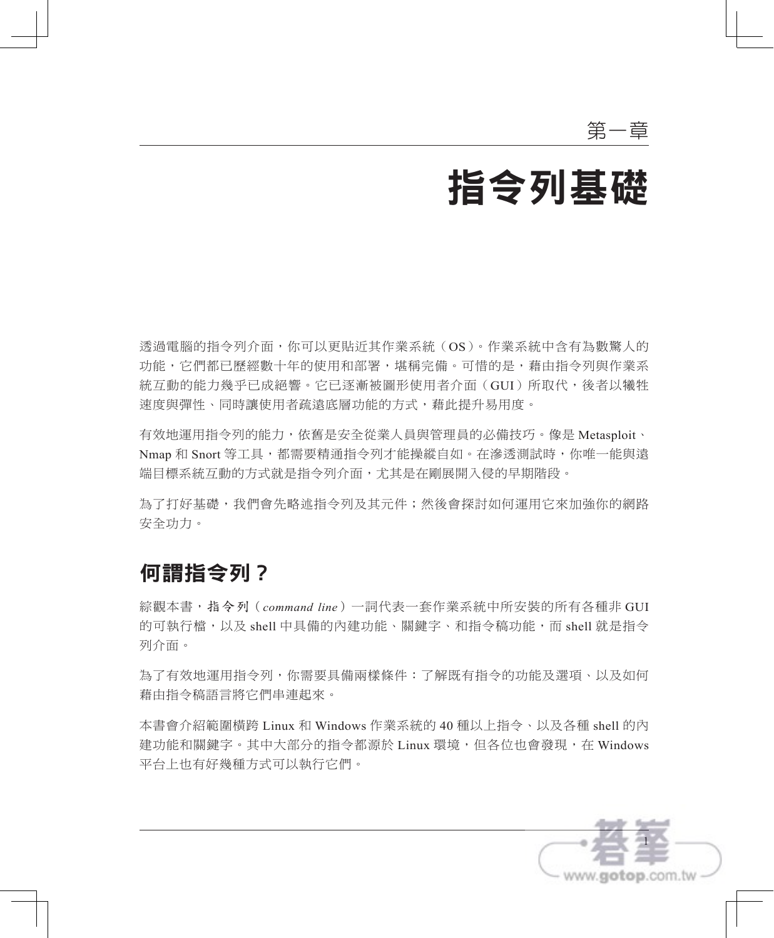# 指令列基礎

透過電腦的指令列介面,你可以更貼近其作業系統(OS)。作業系統中含有為數驚人的 功能,它們都已歷經數十年的使用和部署,堪稱完備。可惜的是,藉由指令列與作業系 統互動的能力幾乎已成絕響。它已逐漸被圖形使用者介面(GUI)所取代,後者以犧牲 速度與彈性、同時讓使用者疏遠底層功能的方式,藉此提升易用度。

有效地運用指令列的能力,依舊是安全從業人員與管理員的必備技巧。像是 Metasploit、 Nmap 和 Snort 等工具,都需要精通指令列才能操縱自如。在滲透測試時,你唯一能與遠 端目標系統互動的方式就是指令列介面,尤其是在剛展開入侵的早期階段。

為了打好基礎,我們會先略述指令列及其元件;然後會探討如何運用它來加強你的網路 安全功力。

# 何謂指令列?

綜觀本書,指令列(*command line*)一詞代表一套作業系統中所安裝的所有各種非 GUI 的可執行檔,以及 shell 中具備的內建功能、關鍵字、和指令稿功能,而 shell 就是指令 列介面。

為了有效地運用指令列,你需要具備兩樣條件:了解既有指令的功能及選項、以及如何 藉由指令稿語言將它們串連起來。

本書會介紹範圍橫跨 Linux 和 Windows 作業系統的 40 種以上指令、以及各種 shell 的內 建功能和關鍵字。其中大部分的指今都源於 Linux 環境, 但各位也會發現, 在 Windows 平台上也有好幾種方式可以執行它們。

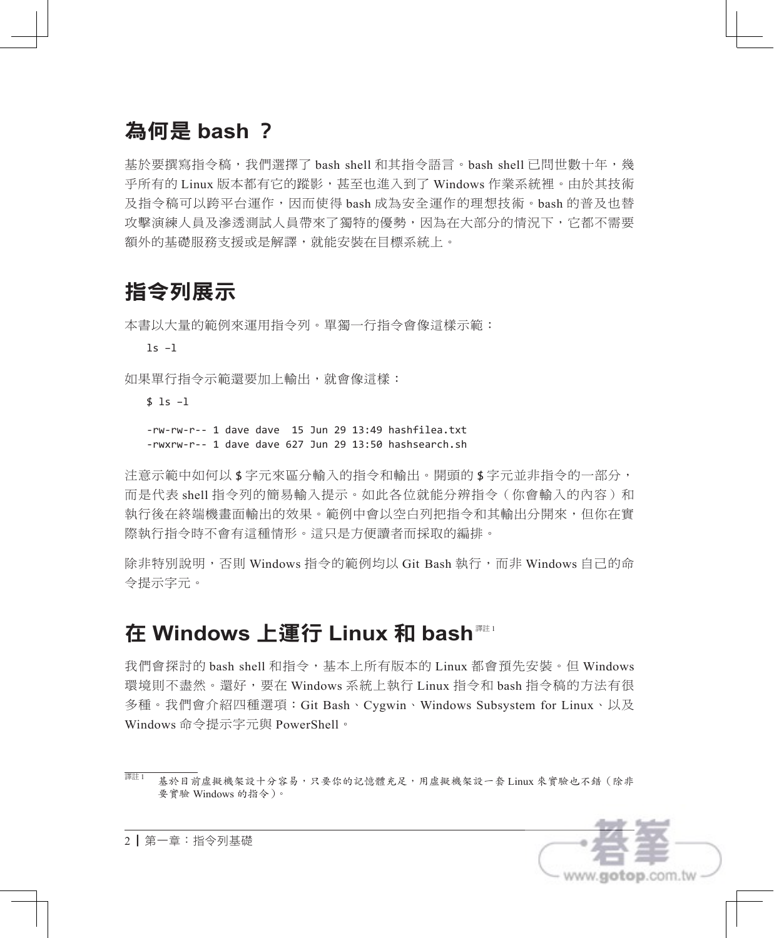# 為何是 **bash** ?

基於要撰寫指令稿,我們選擇了 bash shell 和其指令語言。bash shell 已問世數十年,幾 乎所有的 Linux 版本都有它的蹤影,甚至也進入到了 Windows 作業系統裡。由於其技術 及指令稿可以跨平台運作,因而使得 bash 成為安全運作的理想技術。bash 的普及也替 攻擊演練人員及滲透測試人員帶來了獨特的優勢,因為在大部分的情況下,它都不需要 額外的基礎服務支援或是解譯,就能安裝在目標系統上。

# 指令列展示

本書以大量的範例來運用指令列。單獨一行指令會像這樣示範:

ls –l

如果單行指令示範還要加上輸出,就會像這樣:

#### $$ 1s -1$

-rw-rw-r-- 1 dave dave 15 Jun 29 13:49 hashfilea.txt -rwxrw-r-- 1 dave dave 627 Jun 29 13:50 hashsearch.sh

注意示範中如何以 \$ 字元來區分輸入的指令和輸出。開頭的 \$ 字元並非指令的一部分, 而是代表 shell 指今列的簡易輸入提示。如此各位就能分辨指今(你會輸入的內容)和 執行後在終端機畫面輸出的效果。範例中會以空白列把指今和其輸出分開來,但你在實 際執行指令時不會有這種情形。這只是方便讀者而採取的編排。

除非特別說明,否則 Windows 指令的範例均以 Git Bash 執行,而非 Windows 自己的命 令提示字元。

# 在 **Windows** 上運行 **Linux** 和 **bash** 譯註 <sup>1</sup>

我們會探討的 bash shell 和指令,基本上所有版本的 Linux 都會預先安裝。但 Windows 環境則不盡然。還好,要在 Windows 系統上執行 Linux 指令和 bash 指令稿的方法有很 多種。我們會介紹四種選項:Git Bash、Cygwin、Windows Subsystem for Linux、以及 Windows 命令提示字元與 PowerShell。

<sup>&</sup>lt;sup>譯註1</sup> 基於目前虛擬機架設十分容易,只要你的記憶體充足,用虛擬機架設一套 Linux 來實驗也不錯 (除非 要實驗 Windows 的指令)。

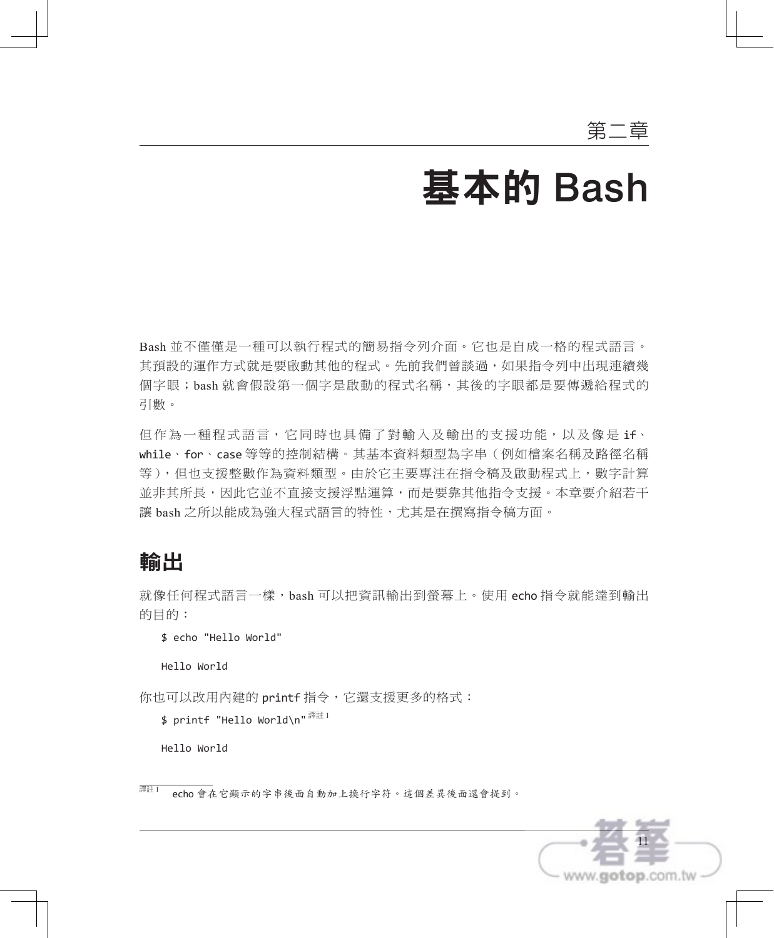# 基本的 Bash

Bash 並不僅僅是一種可以執行程式的簡易指令列介面。它也是自成一格的程式語言。 其預設的運作方式就是要啟動其他的程式。先前我們曾談過,如果指令列中出現連續幾 個字眼;bash 就會假設第一個字是啟動的程式名稱,其後的字眼都是要傳遞給程式的 引數。

但作為一種程式語言,它同時也具備了對輸入及輸出的支援功能,以及像是 if、 while、for、case 等等的控制結構。其基本資料類型為字串(例如檔案名稱及路徑名稱 等),但也支援整數作為資料類型。由於它主要專注在指令稿及啟動程式上,數字計算 並非其所長,因此它並不直接支援浮點運算,而是要靠其他指令支援。本章要介紹若干 讓 bash 之所以能成為強大程式語言的特性,尤其是在撰寫指令稿方面。

## 輸出

就像任何程式語言一樣,bash 可以把資訊輸出到螢幕上。使用 echo 指今就能達到輸出 的目的:

```
$ echo "Hello World"
```
Hello World

你也可以改用內建的 printf 指令,它還支援更多的格式:

```
$ printf "Hello World\n"^{\mathbb{H}\pm1}
```
Hello World

<sup>=&</sup>lt;br><sup>譯註 1</sup> echo 會在它顯示的字串後面自動加上換行字符。這個差異後面還會提到。

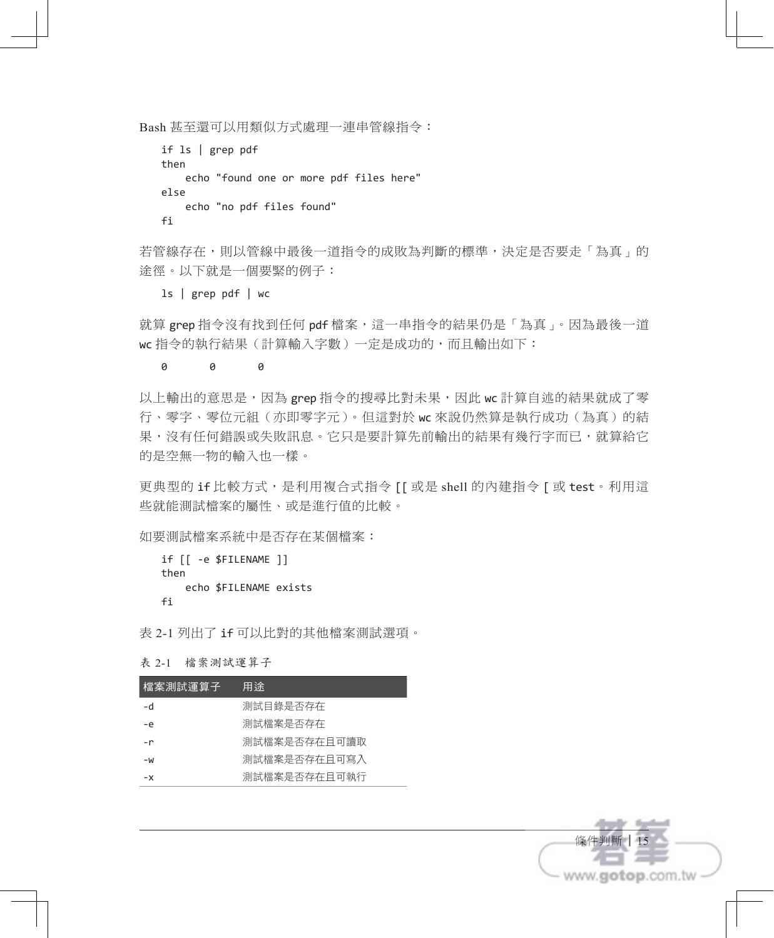Bash 甚至還可以用類似方式處理一連串管線指令:

```
if ls | grep pdf
then
     echo "found one or more pdf files here"
else
     echo "no pdf files found"
fi
```
若管線存在,則以管線中最後一道指令的成敗為判斷的標準,決定是否要走「為真」的 途徑。以下就是一個要緊的例子:

ls | grep pdf | wc

就算 grep 指令沒有找到任何 pdf 檔案,這一串指令的結果仍是「為真」。因為最後一道 wc 指令的執行結果(計算輸入字數)一定是成功的,而且輸出如下:

#### 0 0 0

以上輸出的意思是,因為 grep 指令的搜尋比對未果,因此 wc 計算自述的結果就成了零 行、零字、零位元組(亦即零字元)。但這對於 wc 來說仍然算是執行成功(為真)的結 果,沒有任何錯誤或失敗訊息。它只是要計算先前輸出的結果有幾行字而已,就算給它 的是空無一物的輸入也一樣。

更典型的 if 比較方式,是利用複合式指令 [[ 或是 shell 的內建指令 [ 或 test。利用這 些就能測試檔案的屬性、或是進行值的比較。

如要測試檔案系統中是否存在某個檔案:

```
if [[ -e $FILENAME ]]
then
    echo $FILENAME exists
fi
```
表 2-1 列出了 if 可以比對的其他檔案測試選項。

| 檔案測試運算子 | 用涂           |
|---------|--------------|
| -d      | 測試目錄是否存在     |
| -e      | 測試檔案是否存在     |
| $-r$    | 測試檔案是否存在日可讀取 |
| -W      | 測試檔案是否存在日可寫入 |
| $- x$   | 測試檔案是否存在日可執行 |
|         |              |



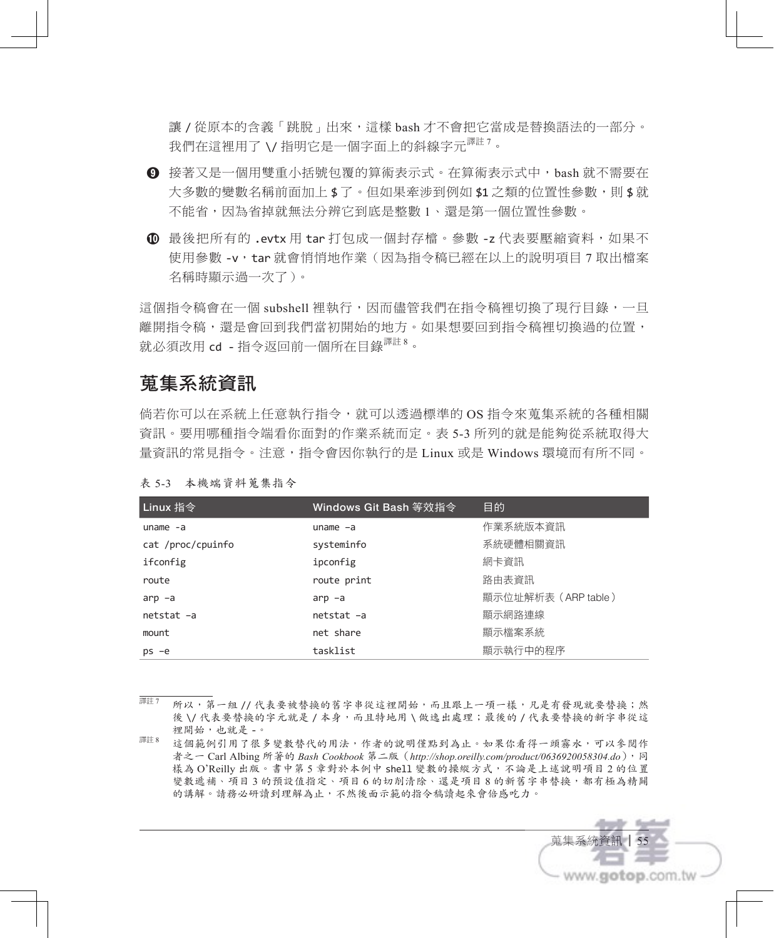讓 / 從原本的含義「跳脫」出來, 這樣 bash 才不會把它當成是替換語法的一部分。 我們在這裡用了 \/ 指明它是一個字面上的斜線字元<sup>譯註 7</sup>。

- **❾** 接著又是一個用雙重小括號包覆的算術表示式。在算術表示式中,bash 就不需要在 大多數的變數名稱前面加上 \$ 了。但如果牽涉到例如 \$1 之類的位置性參數,則 \$ 就 不能省,因為省掉就無法分辨它到底是整數 1、還是第一個位置性參數。
- 最後把所有的 .evtx 用 tar 打包成一個封存檔。參數 -z 代表要壓縮資料,如果不 使用參數 -v,tar 就會悄悄地作業(因為指令稿已經在以上的說明項目 7 取出檔案 名稱時顯示過一次了)。

這個指令稿會在一個 subshell 裡執行,因而儘管我們在指今稿裡切換了現行目錄,一日 離開指今稿,還是會回到我們當初開始的地方。如果想要回到指今稿裡切換過的位置, 就必須改用 cd - 指令返回前一個所在目錄<sup>譯註 8</sup>。

## 蒐集系統資訊

倘若你可以在系統上任意執行指令,就可以透過標準的 OS 指令來蒐集系統的各種相關 資訊。要用哪種指令端看你面對的作業系統而定。表 5-3 所列的就是能夠從系統取得大 量資訊的常見指令。注意,指令會因你執行的是 Linux 或是 Windows 環境而有所不同。

| Linux 指令          | Windows Git Bash 等效指今 | 目的                  |
|-------------------|-----------------------|---------------------|
| uname $-a$        | $uname -a$            | 作業系統版本資訊            |
| cat /proc/cpuinfo | systeminfo            | 系統硬體相關資訊            |
| ifconfig          | ipconfig              | 網卡資訊                |
| route             | route print           | 路由表資訊               |
| $arp -a$          | $arp -a$              | 顯示位址解析表 (ARP table) |
| netstat -a        | netstat -a            | 顯示網路連線              |
| mount             | net share             | 顯示檔案系統              |
| $ps -e$           | tasklist              | 顯示執行中的程序            |

表 5-3 本機端資料蒐集指令

譯註 <sup>7</sup> 所以,第一組 // 代表要被替換的舊字串從這裡開始,而且跟上一項一樣,凡是有發現就要替換;然 後 \/ 代表要替换的字元就是 / 本身,而且特地用 \ 做逸出處理; 最後的 / 代表要替换的新字串從這 裡開始,也就是 -。

<sup>譯註8</sup> 這個範例引用了很多變數替代的用法,作者的說明僅點到為止。如果你看得一頭霧水,可以參閱作 者之一 Carl Albing 所著的 *Bash Cookbook* 第二版(*http://shop.oreilly.com/product/0636920058304.do*),同 樣為 O'Reilly 出版。書中第 5 章對於本例中 shell 變數的操縱方式,不論是上述說明項目 2 的位置 變數遞補、項目 3 的預設值指定、項目 6 的切削清除、還是項目 8 的新舊字串替換,都有極為精闢 的講解。請務必研讀到理解為止,不然後面示範的指令稿讀起來會倍感吃力。

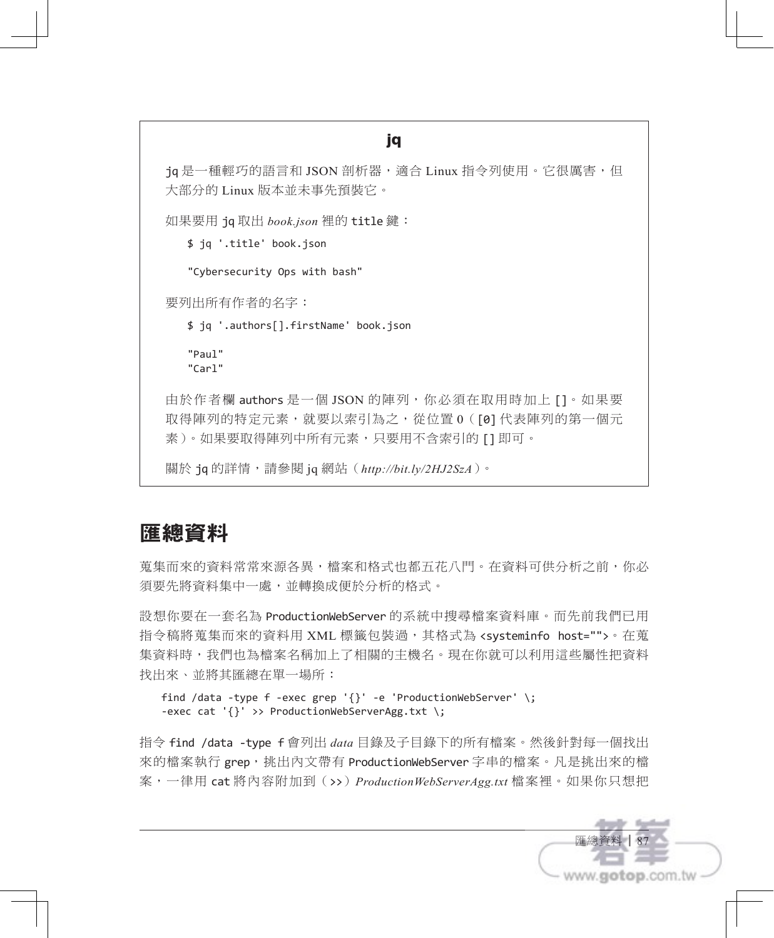#### jq

jq 是一種輕巧的語言和 JSON 剖析器,適合 Linux 指令列使用。它很厲害,但 大部分的 Linux 版本並未事先預裝它。

如果要用 jq 取出 *book.json* 裡的 title 鍵:

\$ jq '.title' book.json

"Cybersecurity Ops with bash"

要列出所有作者的名字:

\$ jq '.authors[].firstName' book.json

"Paul" "Carl"

由於作者欄 authors 是一個 JSON 的陣列,你必須在取用時加上 []。如果要 取得陣列的特定元素,就要以索引為之,從位置 0([0] 代表陣列的第一個元 素)。如果要取得陣列中所有元素,只要用不含索引的 [1即可。

關於 jq 的詳情,請參閱 jq 網站(*http://bit.ly/2HJ2SzA*)。

## 匯總資料

萬集而來的資料常來源各異,檔案和格式也都五花八門。在資料可供分析之前,你必 須要先將資料集中一處,並轉換成便於分析的格式。

設想你要在一套名為 ProductionWebServer 的系統中搜尋檔案資料庫。而先前我們已用 指令稿將蒐集而來的資料用 XML 標籤包裝過,其格式為 <systeminfo host="">。在蒐 集資料時,我們也為檔案名稱加上了相關的主機名。現在你就可以利用這些屬性把資料 找出來、並將其匯總在單一場所:

```
find /data -type f -exec grep '{}' -e 'ProductionWebServer' \;
-exec cat '{}' >> ProductionWebServerAgg.txt \;
```
指令 find /data -type f 會列出 *data* 目錄及子目錄下的所有檔案。然後針對每一個找出 來的檔案執行 grep,挑出內文帶有 ProductionWebServer 字串的檔案。凡是挑出來的檔 案,一律用 cat 將內容附加到(>>)*ProductionWebServerAgg.txt* 檔案裡。如果你只想把

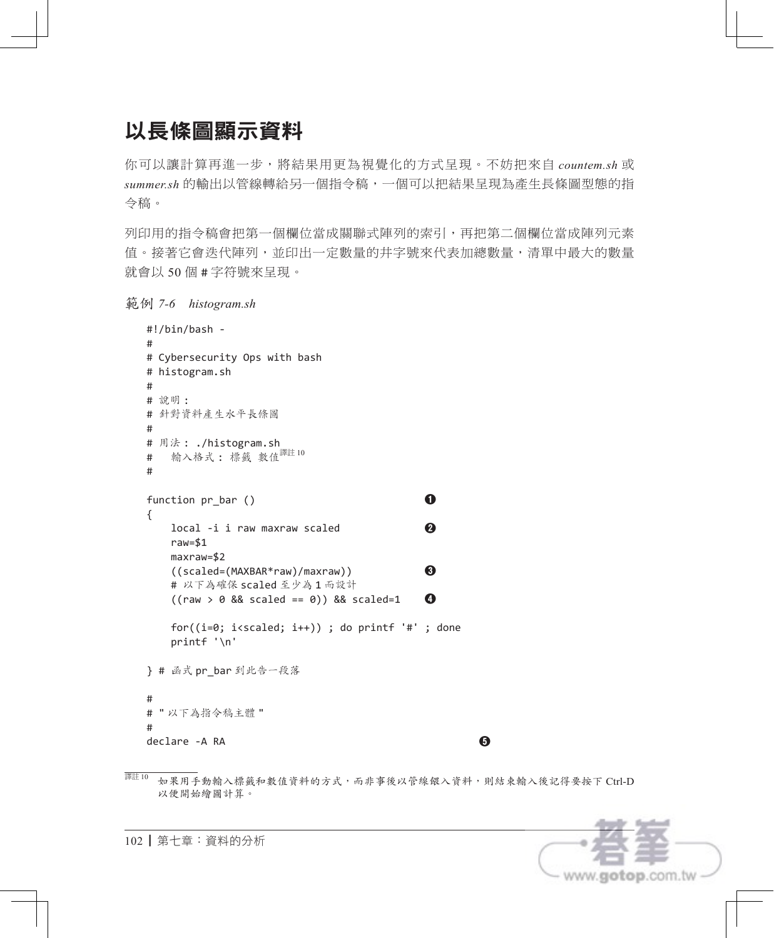# 以長條圖顯示資料

你可以讓計算再進一步,將結果用更為視覺化的方式呈現。不妨把來自 *countem.sh* 或 *summer.sh* 的輸出以管線轉給另一個指令稿,一個可以把結果呈現為產生長條圖型態的指 令稿。

列印用的指令稿會把第一個欄位當成關聯式陣列的索引,再把第二個欄位當成陣列元素 值。接著它會迭代陣列,並印出一定數量的井字號來代表加總數量,清單中最大的數量 就會以 50 個 # 字符號來呈現。

範例 *7-6 histogram.sh*

```
#!/bin/bash -
#
# Cybersecurity Ops with bash
# histogram.sh
#
# 說明 :
# 針對資料產生水平長條圖
#
# 用法 : ./histogram.sh
# 輸入格式: 標籤 數值<sup>譯註 10</sup>
#
function pr_bar () ❶
{
    local -i i raw maxraw scaled ❷
    raw=$1
    maxraw=$2
    ((scaled=(MAXBAR*raw)/maxraw)) ❸
    # 以下為確保 scaled 至少為 1 而設計
    ((raw > 0 && scaled == 0)) && scaled=1 ❹
   for((i=0; i< s <i>i++1</i>)); do printf '#'; done
    printf '\n'
} # 函式 pr_bar 到此告一段落
#
# " 以下為指令稿主體 "
#
declare -A RA ❺
```
譯註 <sup>10</sup> 如果用手動輸入標籤和數值資料的方式,而非事後以管線餵入資料,則結束輸入後記得要按下 Ctrl-D 以便開始繪圖計算。

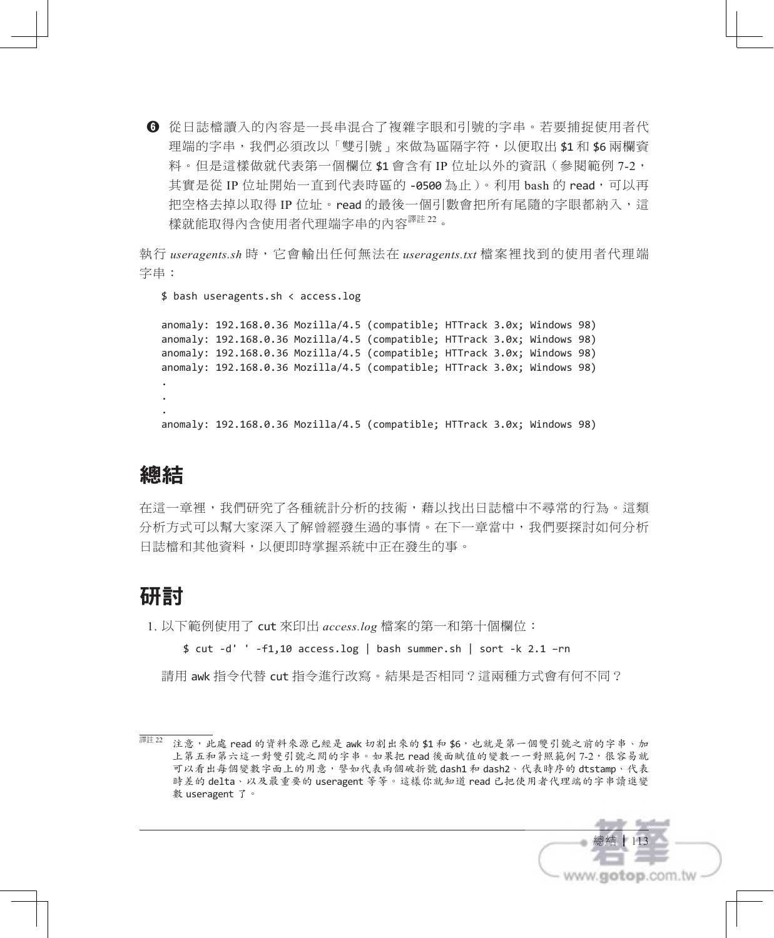**❻** 從日誌檔讀入的內容是一長串混合了複雜字眼和引號的字串。若要捕捉使用者代 理端的字串,我們必須改以「雙引號」來做為區隔字符,以便取出 \$1和 \$6 兩欄資 料。但是這樣做就代表第一個欄位 \$1 會含有 IP 位址以外的資訊(參閱範例 7-2, 其實是從 IP 位址開始一直到代表時區的 -0500 為止)。利用 bash 的 read,可以再 把空格去掉以取得 IP 位址。read 的最後一個引數會把所有尾隨的字眼都納入,這 樣就能取得內含使用者代理端字串的內容譯註 <sup>22</sup>。

執行 *useragents.sh* 時,它會輸出任何無法在 *useragents.txt* 檔案裡找到的使用者代理端 字串:

\$ bash useragents.sh < access.log

anomaly: 192.168.0.36 Mozilla/4.5 (compatible; HTTrack 3.0x; Windows 98) anomaly: 192.168.0.36 Mozilla/4.5 (compatible; HTTrack 3.0x; Windows 98) anomaly: 192.168.0.36 Mozilla/4.5 (compatible; HTTrack 3.0x; Windows 98) anomaly: 192.168.0.36 Mozilla/4.5 (compatible; HTTrack 3.0x; Windows 98) . . . anomaly: 192.168.0.36 Mozilla/4.5 (compatible; HTTrack 3.0x; Windows 98)

## 總結

在這一章裡,我們研究了各種統計分析的技術,藉以找出日誌檔中不尋常的行為。這類 分析方式可以幫大家深入了解曾經發生過的事情。在下一章當中,我們要探討如何分析 日誌檔和其他資料,以便即時掌握系統中正在發生的事。

# 研討

1. 以下範例使用了 cut 來印出 *access.log* 檔案的第一和第十個欄位:

\$ cut -d' ' -f1,10 access.log | bash summer.sh | sort -k 2.1 –rn

請用 awk 指令代替 cut 指令進行改寫。結果是否相同?這兩種方式會有何不同?

<sup>&</sup>lt;sup>譯註 22</sup> 注意,此處 read 的資料來源已經是 awk 切割出來的 \$1 和 \$6,也就是第一個雙引號之前的字串、加 上第五和第六這一對雙引號之間的字串。如果把 read 後面賦值的變數一一對照範例 7-2,很容易就 可以看出每個變數字面上的用意,譬如代表兩個破折號 dash1 和 dash2、代表時序的 dtstamp、代表 時差的 delta、以及最重要的 useragent 等等。這樣你就知道 read 已把使用者代理端的字串讀進變 數 useragent 了。

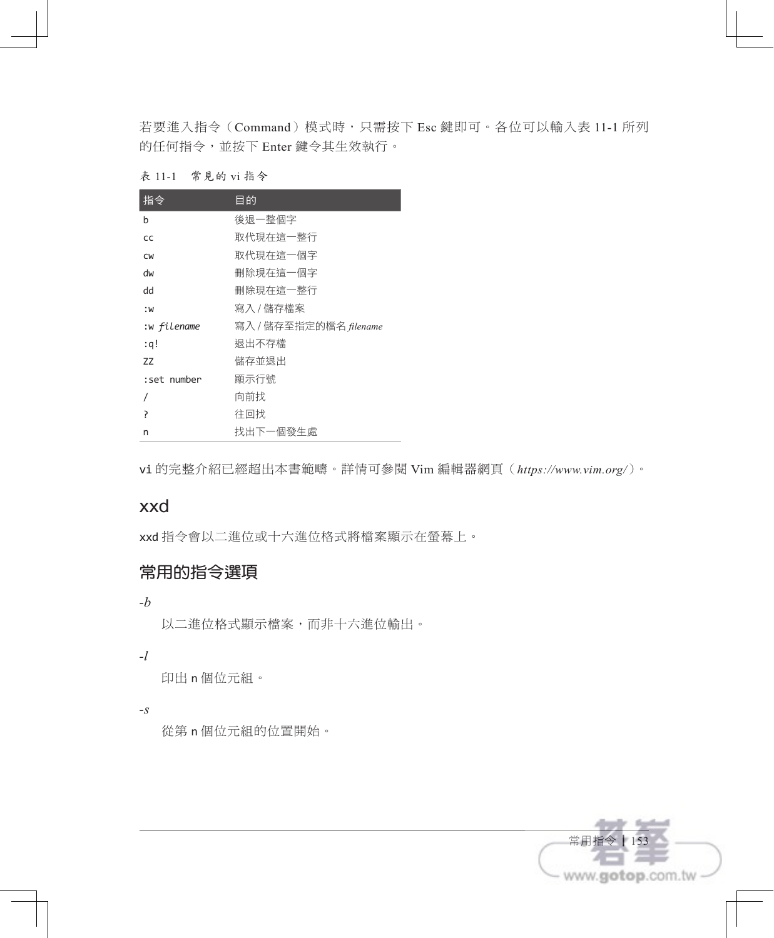若要進入指令(Command)模式時,只需按下 Esc 鍵即可。各位可以輸入表 11-1 所列 的任何指令,並按下 Enter 鍵令其生效執行。

| 常見的 vi 指令 | 表 11-1 |  |  |  |  |  |  |
|-----------|--------|--|--|--|--|--|--|
|-----------|--------|--|--|--|--|--|--|

| 指令          | 目的                     |
|-------------|------------------------|
| b           | 後退一整個字                 |
| CC          | 取代現在狺一整行               |
| <b>CW</b>   | 取代現在狺一個字               |
| dw          | 刪除現在這一個字               |
| dd          | 刪除現在狺一整行               |
| : W         | 寫入 / 儲存檔案              |
| :w filename | 寫入 / 儲存至指定的檔名 filename |
| :q!         | 狠出不存檔                  |
| ZZ          | 儲存並狠出                  |
| :set number | 顯示行號                   |
|             | 向前找                    |
| Ρ           | 往回找                    |
| n           | 找出下一個發牛處               |

vi 的完整介紹已經超出本書範疇。詳情可參閱 Vim 編輯器網頁(*https://www.vim.org/*)。

## xxd

xxd 指令會以二進位或十六進位格式將檔案顯示在螢幕上。

## 常用的指令選項

*-b*

以二進位格式顯示檔案,而非十六進位輸出。

#### *-l*

印出 n 個位元組。

*-s*

從第 n 個位元組的位置開始。

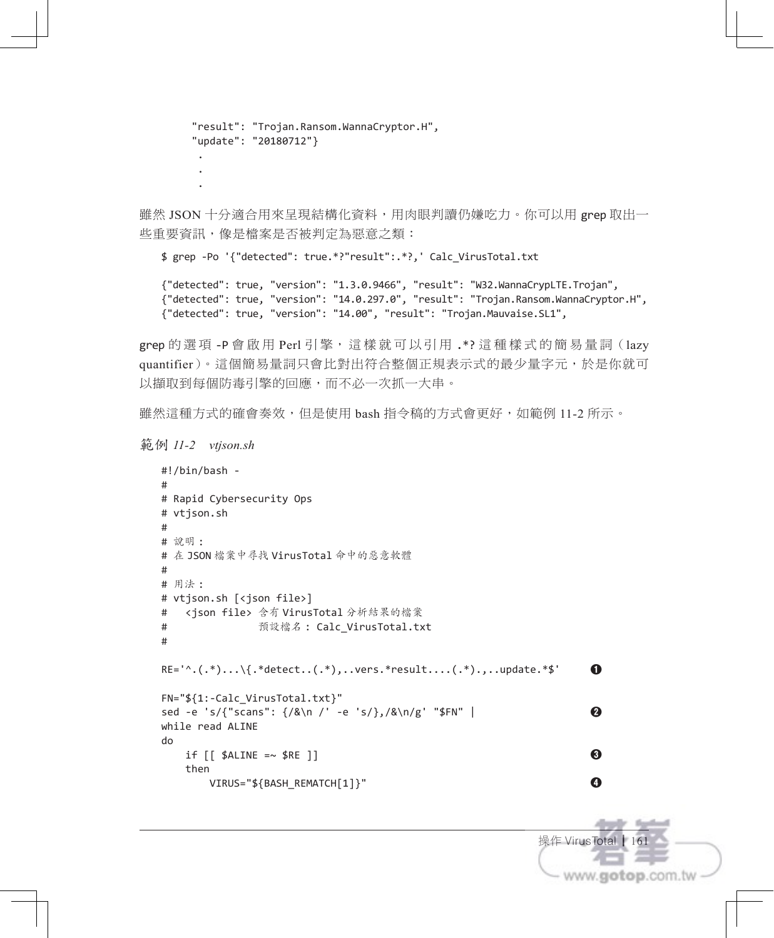```
 "result": "Trojan.Ransom.WannaCryptor.H",
     "update": "20180712"}
 .
 .
```
雖然 JSON 十分適合用來呈現結構化資料,用肉眼判讀仍嫌吃力。你可以用 grep 取出一 些重要資訊,像是檔案是否被判定為惡意之類:

\$ grep -Po '{"detected": true.\*?"result":.\*?,' Calc\_VirusTotal.txt

{"detected": true, "version": "1.3.0.9466", "result": "W32.WannaCrypLTE.Trojan", {"detected": true, "version": "14.0.297.0", "result": "Trojan.Ransom.WannaCryptor.H", {"detected": true, "version": "14.00", "result": "Trojan.Mauvaise.SL1",

grep 的選項-P 會啟用 Perl 引擎,這樣就可以引用 .\*?這種樣式的簡易量詞 (lazy quantifier)。這個簡易量詞只會比對出符合整個正規表示式的最少量字元,於是你就可 以擷取到每個防毒引擎的回應,而不必一次抓一大串。

雖然這種方式的確會奏效,但是使用 bash 指令稿的方式會更好,如範例 11-2 所示。

範例 *11-2 vtjson.sh*

.

```
#!/bin/bash -
#
# Rapid Cybersecurity Ops
# vtjson.sh
#
# 說明 :
# 在 JSON 檔案中尋找 VirusTotal 命中的惡意軟體
#
# 用法 :
# vtjson.sh [<json file>]
# <json file> 含有 VirusTotal 分析結果的檔案
# 預設檔名 : Calc_VirusTotal.txt
#
RE='^.(.*)...\{.*detect..(.*),..vers.*result....(.*).,..update.*$' ❶
FN="${1:-Calc_VirusTotal.txt}"
sed -e 's/{"scans": {/&\n /' -e 's/},/&\n/g' "$FN" | ❷
while read ALINE
do
   if \left[\right] $ALINE =~ $RE ]]
    then
       VIRUS="${BASH_REMATCH[1]}" ❹
```
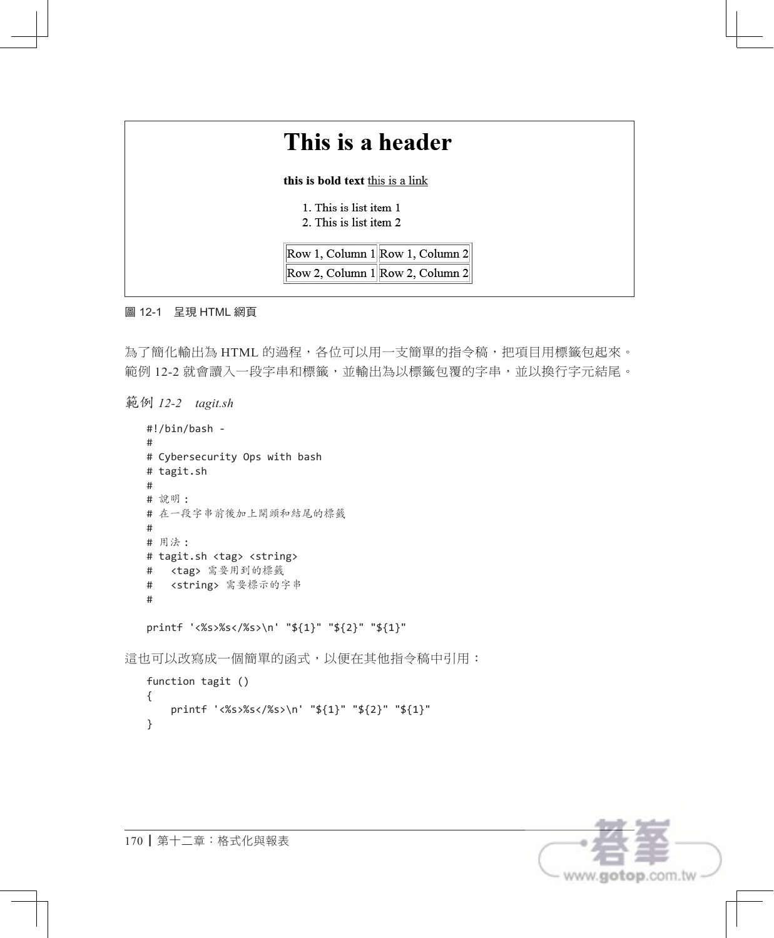| This is a header                                  |                                     |
|---------------------------------------------------|-------------------------------------|
| this is bold text this is a link                  |                                     |
| 1. This is list item 1<br>2. This is list item 2. |                                     |
|                                                   | Row 1, Column 1 Row 1, Column 2     |
|                                                   | Row 2, Column $1$ Row 2, Column $2$ |

#### 圖 12-1 呈現 HTML 網頁

為了簡化輸出為 HTML 的過程,各位可以用一支簡單的指令稿,把項目用標籤包起來。 範例 12-2 就會讀入一段字串和標籤,並輸出為以標籤包覆的字串,並以換行字元結尾。

範例 *12-2 tagit.sh*

```
#!/bin/bash -
  #
  # Cybersecurity Ops with bash
  # tagit.sh
  #
  # 說明 :
  # 在一段字串前後加上開頭和結尾的標籤
  #
  # 用法 :
  # tagit.sh <tag> <string>
  # <tag> 需要用到的標籤
  # <string> 需要標示的字串
  #
  printf '<%s>%s</%s>\n' "${1}" "${2}" "${1}"
這也可以改寫成一個簡單的函式,以便在其他指令稿中引用:
```

```
function tagit ()
{
     printf '<%s>%s</%s>\n' "${1}" "${2}" "${1}"
}
```